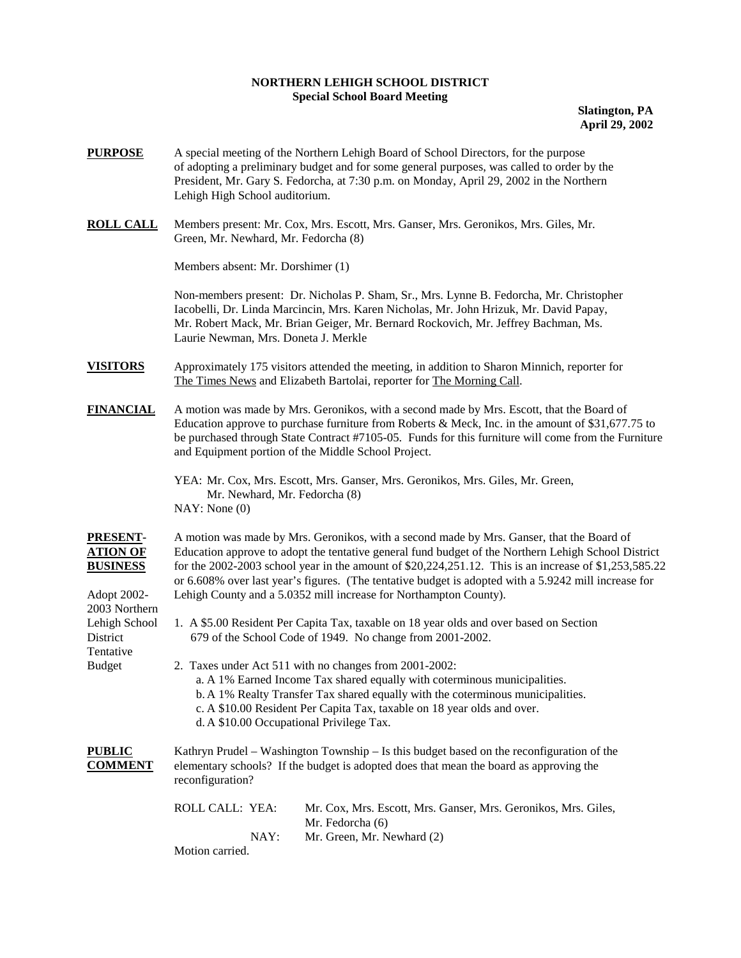## **NORTHERN LEHIGH SCHOOL DISTRICT Special School Board Meeting**

**Slatington, PA April 29, 2002** 

- **PURPOSE** A special meeting of the Northern Lehigh Board of School Directors, for the purpose of adopting a preliminary budget and for some general purposes, was called to order by the President, Mr. Gary S. Fedorcha, at 7:30 p.m. on Monday, April 29, 2002 in the Northern Lehigh High School auditorium.
- **ROLL CALL** Members present: Mr. Cox, Mrs. Escott, Mrs. Ganser, Mrs. Geronikos, Mrs. Giles, Mr. Green, Mr. Newhard, Mr. Fedorcha (8)

Members absent: Mr. Dorshimer (1)

 Non-members present: Dr. Nicholas P. Sham, Sr., Mrs. Lynne B. Fedorcha, Mr. Christopher Iacobelli, Dr. Linda Marcincin, Mrs. Karen Nicholas, Mr. John Hrizuk, Mr. David Papay, Mr. Robert Mack, Mr. Brian Geiger, Mr. Bernard Rockovich, Mr. Jeffrey Bachman, Ms. Laurie Newman, Mrs. Doneta J. Merkle

- **VISITORS** Approximately 175 visitors attended the meeting, in addition to Sharon Minnich, reporter for The Times News and Elizabeth Bartolai, reporter for The Morning Call.
- **FINANCIAL** A motion was made by Mrs. Geronikos, with a second made by Mrs. Escott, that the Board of Education approve to purchase furniture from Roberts & Meck, Inc. in the amount of \$31,677.75 to be purchased through State Contract #7105-05. Funds for this furniture will come from the Furniture and Equipment portion of the Middle School Project.

YEA: Mr. Cox, Mrs. Escott, Mrs. Ganser, Mrs. Geronikos, Mrs. Giles, Mr. Green, Mr. Newhard, Mr. Fedorcha (8) NAY: None (0)

2003 Northern

Tentative

**PRESENT-** A motion was made by Mrs. Geronikos, with a second made by Mrs. Ganser, that the Board of **ATION OF** Education approve to adopt the tentative general fund budget of the Northern Lehigh School District **BUSINESS** for the 2002-2003 school year in the amount of \$20,224,251.12. This is an increase of \$1,253,585.22 or 6.608% over last year's figures. (The tentative budget is adopted with a 5.9242 mill increase for Adopt 2002- Lehigh County and a 5.0352 mill increase for Northampton County).

- Lehigh School 1. A \$5.00 Resident Per Capita Tax, taxable on 18 year olds and over based on Section District 679 of the School Code of 1949. No change from 2001-2002.
- Budget 2. Taxes under Act 511 with no changes from 2001-2002: a. A 1% Earned Income Tax shared equally with coterminous municipalities. b. A 1% Realty Transfer Tax shared equally with the coterminous municipalities. c. A \$10.00 Resident Per Capita Tax, taxable on 18 year olds and over. d. A \$10.00 Occupational Privilege Tax.

**PUBLIC** Kathryn Prudel – Washington Township – Is this budget based on the reconfiguration of the **COMMENT** elementary schools? If the budget is adopted does that mean the board as approving the reconfiguration?

| ROLL CALL: YEA: | Mr. Cox, Mrs. Escott, Mrs. Ganser, Mrs. Geronikos, Mrs. Giles, |
|-----------------|----------------------------------------------------------------|
|                 | Mr. Fedorcha (6)                                               |
| NAY:            | Mr. Green, Mr. Newhard (2)                                     |
| Motion carried. |                                                                |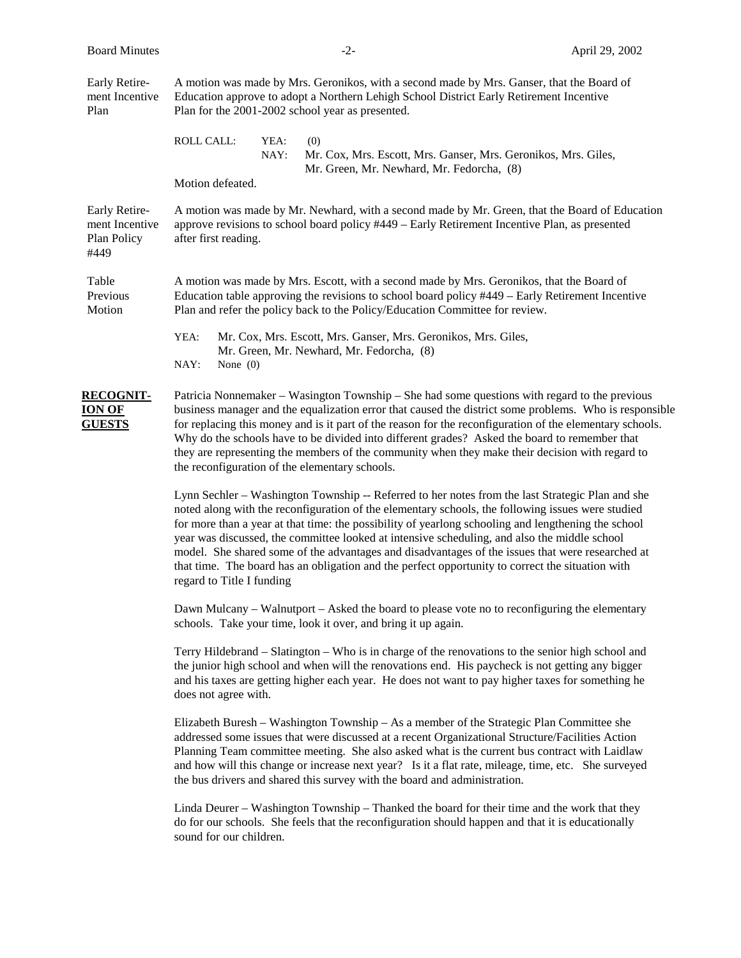| Early Retire-<br>ment Incentive<br>Plan                |                                                                                                                                                                                                                                                                                                                                                                                                                                                                                                                                                                                                                                                   | A motion was made by Mrs. Geronikos, with a second made by Mrs. Ganser, that the Board of<br>Education approve to adopt a Northern Lehigh School District Early Retirement Incentive<br>Plan for the 2001-2002 school year as presented. |                                                                                                                                                                                                                                                                                                                                                                                                                                                                                                                                                                           |  |
|--------------------------------------------------------|---------------------------------------------------------------------------------------------------------------------------------------------------------------------------------------------------------------------------------------------------------------------------------------------------------------------------------------------------------------------------------------------------------------------------------------------------------------------------------------------------------------------------------------------------------------------------------------------------------------------------------------------------|------------------------------------------------------------------------------------------------------------------------------------------------------------------------------------------------------------------------------------------|---------------------------------------------------------------------------------------------------------------------------------------------------------------------------------------------------------------------------------------------------------------------------------------------------------------------------------------------------------------------------------------------------------------------------------------------------------------------------------------------------------------------------------------------------------------------------|--|
|                                                        | ROLL CALL:                                                                                                                                                                                                                                                                                                                                                                                                                                                                                                                                                                                                                                        | YEA:<br>NAY:                                                                                                                                                                                                                             | (0)<br>Mr. Cox, Mrs. Escott, Mrs. Ganser, Mrs. Geronikos, Mrs. Giles,<br>Mr. Green, Mr. Newhard, Mr. Fedorcha, (8)                                                                                                                                                                                                                                                                                                                                                                                                                                                        |  |
|                                                        | Motion defeated.                                                                                                                                                                                                                                                                                                                                                                                                                                                                                                                                                                                                                                  |                                                                                                                                                                                                                                          |                                                                                                                                                                                                                                                                                                                                                                                                                                                                                                                                                                           |  |
| Early Retire-<br>ment Incentive<br>Plan Policy<br>#449 | A motion was made by Mr. Newhard, with a second made by Mr. Green, that the Board of Education<br>approve revisions to school board policy #449 – Early Retirement Incentive Plan, as presented<br>after first reading.                                                                                                                                                                                                                                                                                                                                                                                                                           |                                                                                                                                                                                                                                          |                                                                                                                                                                                                                                                                                                                                                                                                                                                                                                                                                                           |  |
| Table<br>Previous<br>Motion                            | A motion was made by Mrs. Escott, with a second made by Mrs. Geronikos, that the Board of<br>Education table approving the revisions to school board policy #449 – Early Retirement Incentive<br>Plan and refer the policy back to the Policy/Education Committee for review.                                                                                                                                                                                                                                                                                                                                                                     |                                                                                                                                                                                                                                          |                                                                                                                                                                                                                                                                                                                                                                                                                                                                                                                                                                           |  |
|                                                        | YEA:<br>NAY:<br>None $(0)$                                                                                                                                                                                                                                                                                                                                                                                                                                                                                                                                                                                                                        |                                                                                                                                                                                                                                          | Mr. Cox, Mrs. Escott, Mrs. Ganser, Mrs. Geronikos, Mrs. Giles,<br>Mr. Green, Mr. Newhard, Mr. Fedorcha, (8)                                                                                                                                                                                                                                                                                                                                                                                                                                                               |  |
| <b>RECOGNIT-</b><br><b>ION OF</b><br><b>GUESTS</b>     |                                                                                                                                                                                                                                                                                                                                                                                                                                                                                                                                                                                                                                                   |                                                                                                                                                                                                                                          | Patricia Nonnemaker – Wasington Township – She had some questions with regard to the previous<br>business manager and the equalization error that caused the district some problems. Who is responsible<br>for replacing this money and is it part of the reason for the reconfiguration of the elementary schools.<br>Why do the schools have to be divided into different grades? Asked the board to remember that<br>they are representing the members of the community when they make their decision with regard to<br>the reconfiguration of the elementary schools. |  |
|                                                        | Lynn Sechler – Washington Township -- Referred to her notes from the last Strategic Plan and she<br>noted along with the reconfiguration of the elementary schools, the following issues were studied<br>for more than a year at that time: the possibility of yearlong schooling and lengthening the school<br>year was discussed, the committee looked at intensive scheduling, and also the middle school<br>model. She shared some of the advantages and disadvantages of the issues that were researched at<br>that time. The board has an obligation and the perfect opportunity to correct the situation with<br>regard to Title I funding |                                                                                                                                                                                                                                          |                                                                                                                                                                                                                                                                                                                                                                                                                                                                                                                                                                           |  |
|                                                        |                                                                                                                                                                                                                                                                                                                                                                                                                                                                                                                                                                                                                                                   |                                                                                                                                                                                                                                          | Dawn Mulcany – Walnutport – Asked the board to please vote no to reconfiguring the elementary<br>schools. Take your time, look it over, and bring it up again.                                                                                                                                                                                                                                                                                                                                                                                                            |  |
|                                                        | does not agree with.                                                                                                                                                                                                                                                                                                                                                                                                                                                                                                                                                                                                                              |                                                                                                                                                                                                                                          | Terry Hildebrand – Slatington – Who is in charge of the renovations to the senior high school and<br>the junior high school and when will the renovations end. His paycheck is not getting any bigger<br>and his taxes are getting higher each year. He does not want to pay higher taxes for something he                                                                                                                                                                                                                                                                |  |
|                                                        |                                                                                                                                                                                                                                                                                                                                                                                                                                                                                                                                                                                                                                                   |                                                                                                                                                                                                                                          | Elizabeth Buresh – Washington Township – As a member of the Strategic Plan Committee she<br>addressed some issues that were discussed at a recent Organizational Structure/Facilities Action<br>Planning Team committee meeting. She also asked what is the current bus contract with Laidlaw<br>and how will this change or increase next year? Is it a flat rate, mileage, time, etc. She surveyed<br>the bus drivers and shared this survey with the board and administration.                                                                                         |  |
|                                                        |                                                                                                                                                                                                                                                                                                                                                                                                                                                                                                                                                                                                                                                   |                                                                                                                                                                                                                                          | Linda Deurer – Washington Township – Thanked the board for their time and the work that they<br>do for our schools. She feels that the reconfiguration should happen and that it is educationally                                                                                                                                                                                                                                                                                                                                                                         |  |

sound for our children.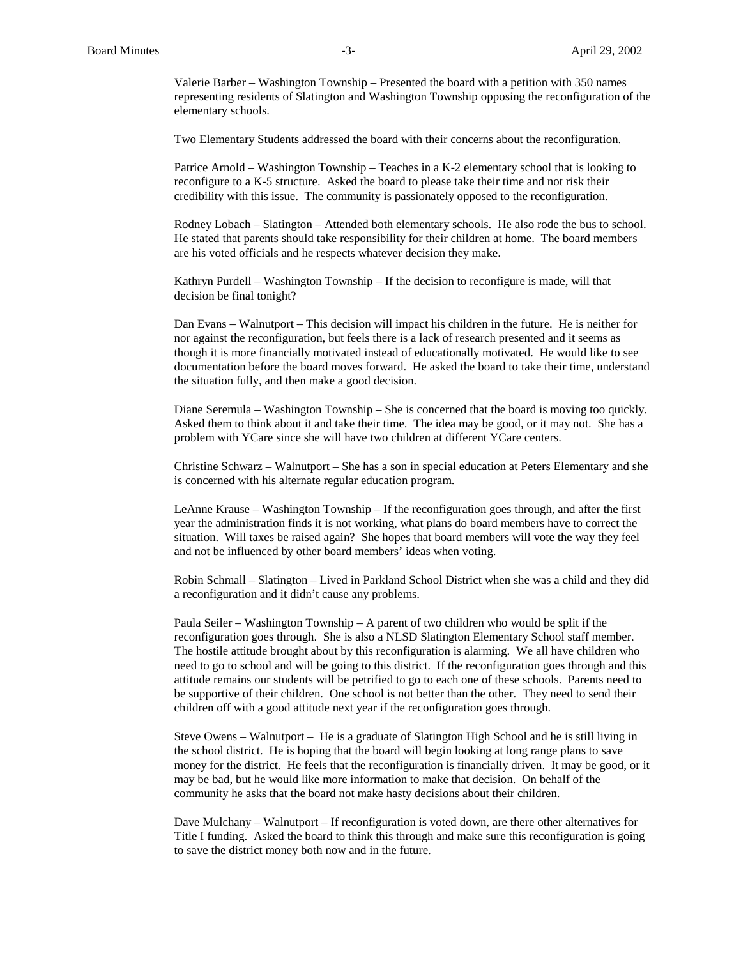Valerie Barber – Washington Township – Presented the board with a petition with 350 names representing residents of Slatington and Washington Township opposing the reconfiguration of the elementary schools.

Two Elementary Students addressed the board with their concerns about the reconfiguration.

Patrice Arnold – Washington Township – Teaches in a K-2 elementary school that is looking to reconfigure to a K-5 structure. Asked the board to please take their time and not risk their credibility with this issue. The community is passionately opposed to the reconfiguration.

Rodney Lobach – Slatington – Attended both elementary schools. He also rode the bus to school. He stated that parents should take responsibility for their children at home. The board members are his voted officials and he respects whatever decision they make.

Kathryn Purdell – Washington Township – If the decision to reconfigure is made, will that decision be final tonight?

Dan Evans – Walnutport – This decision will impact his children in the future. He is neither for nor against the reconfiguration, but feels there is a lack of research presented and it seems as though it is more financially motivated instead of educationally motivated. He would like to see documentation before the board moves forward. He asked the board to take their time, understand the situation fully, and then make a good decision.

Diane Seremula – Washington Township – She is concerned that the board is moving too quickly. Asked them to think about it and take their time. The idea may be good, or it may not. She has a problem with YCare since she will have two children at different YCare centers.

Christine Schwarz – Walnutport – She has a son in special education at Peters Elementary and she is concerned with his alternate regular education program.

LeAnne Krause – Washington Township – If the reconfiguration goes through, and after the first year the administration finds it is not working, what plans do board members have to correct the situation. Will taxes be raised again? She hopes that board members will vote the way they feel and not be influenced by other board members' ideas when voting.

Robin Schmall – Slatington – Lived in Parkland School District when she was a child and they did a reconfiguration and it didn't cause any problems.

Paula Seiler – Washington Township – A parent of two children who would be split if the reconfiguration goes through. She is also a NLSD Slatington Elementary School staff member. The hostile attitude brought about by this reconfiguration is alarming. We all have children who need to go to school and will be going to this district. If the reconfiguration goes through and this attitude remains our students will be petrified to go to each one of these schools. Parents need to be supportive of their children. One school is not better than the other. They need to send their children off with a good attitude next year if the reconfiguration goes through.

Steve Owens – Walnutport – He is a graduate of Slatington High School and he is still living in the school district. He is hoping that the board will begin looking at long range plans to save money for the district. He feels that the reconfiguration is financially driven. It may be good, or it may be bad, but he would like more information to make that decision. On behalf of the community he asks that the board not make hasty decisions about their children.

Dave Mulchany – Walnutport – If reconfiguration is voted down, are there other alternatives for Title I funding. Asked the board to think this through and make sure this reconfiguration is going to save the district money both now and in the future.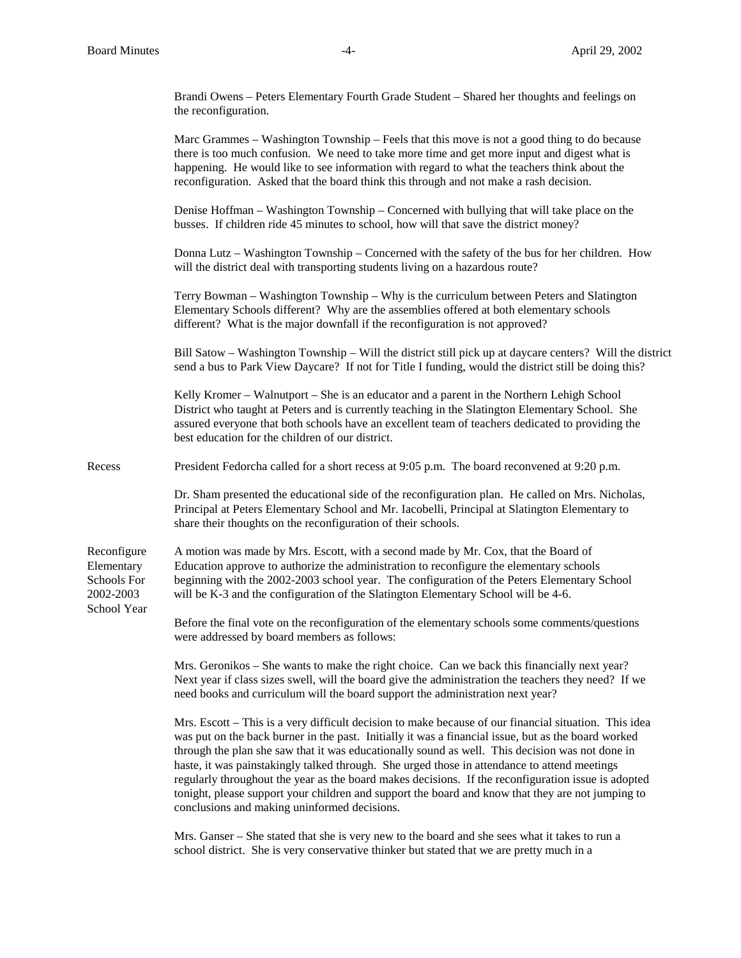Brandi Owens – Peters Elementary Fourth Grade Student – Shared her thoughts and feelings on the reconfiguration.

|                                                                      | Marc Grammes – Washington Township – Feels that this move is not a good thing to do because<br>there is too much confusion. We need to take more time and get more input and digest what is<br>happening. He would like to see information with regard to what the teachers think about the<br>reconfiguration. Asked that the board think this through and not make a rash decision.                                                                                                                                                                                                                                                                                       |
|----------------------------------------------------------------------|-----------------------------------------------------------------------------------------------------------------------------------------------------------------------------------------------------------------------------------------------------------------------------------------------------------------------------------------------------------------------------------------------------------------------------------------------------------------------------------------------------------------------------------------------------------------------------------------------------------------------------------------------------------------------------|
|                                                                      | Denise Hoffman - Washington Township - Concerned with bullying that will take place on the<br>busses. If children ride 45 minutes to school, how will that save the district money?                                                                                                                                                                                                                                                                                                                                                                                                                                                                                         |
|                                                                      | Donna Lutz - Washington Township - Concerned with the safety of the bus for her children. How<br>will the district deal with transporting students living on a hazardous route?                                                                                                                                                                                                                                                                                                                                                                                                                                                                                             |
|                                                                      | Terry Bowman – Washington Township – Why is the curriculum between Peters and Slatington<br>Elementary Schools different? Why are the assemblies offered at both elementary schools<br>different? What is the major downfall if the reconfiguration is not approved?                                                                                                                                                                                                                                                                                                                                                                                                        |
|                                                                      | Bill Satow – Washington Township – Will the district still pick up at daycare centers? Will the district<br>send a bus to Park View Daycare? If not for Title I funding, would the district still be doing this?                                                                                                                                                                                                                                                                                                                                                                                                                                                            |
|                                                                      | Kelly Kromer – Walnutport – She is an educator and a parent in the Northern Lehigh School<br>District who taught at Peters and is currently teaching in the Slatington Elementary School. She<br>assured everyone that both schools have an excellent team of teachers dedicated to providing the<br>best education for the children of our district.                                                                                                                                                                                                                                                                                                                       |
| Recess                                                               | President Fedorcha called for a short recess at 9:05 p.m. The board reconvened at 9:20 p.m.                                                                                                                                                                                                                                                                                                                                                                                                                                                                                                                                                                                 |
|                                                                      | Dr. Sham presented the educational side of the reconfiguration plan. He called on Mrs. Nicholas,<br>Principal at Peters Elementary School and Mr. Iacobelli, Principal at Slatington Elementary to<br>share their thoughts on the reconfiguration of their schools.                                                                                                                                                                                                                                                                                                                                                                                                         |
| Reconfigure<br>Elementary<br>Schools For<br>2002-2003<br>School Year | A motion was made by Mrs. Escott, with a second made by Mr. Cox, that the Board of<br>Education approve to authorize the administration to reconfigure the elementary schools<br>beginning with the 2002-2003 school year. The configuration of the Peters Elementary School<br>will be K-3 and the configuration of the Slatington Elementary School will be 4-6.                                                                                                                                                                                                                                                                                                          |
|                                                                      | Before the final vote on the reconfiguration of the elementary schools some comments/questions<br>were addressed by board members as follows:                                                                                                                                                                                                                                                                                                                                                                                                                                                                                                                               |
|                                                                      | Mrs. Geronikos – She wants to make the right choice. Can we back this financially next year?<br>Next year if class sizes swell, will the board give the administration the teachers they need? If we<br>need books and curriculum will the board support the administration next year?                                                                                                                                                                                                                                                                                                                                                                                      |
|                                                                      | Mrs. Escott – This is a very difficult decision to make because of our financial situation. This idea<br>was put on the back burner in the past. Initially it was a financial issue, but as the board worked<br>through the plan she saw that it was educationally sound as well. This decision was not done in<br>haste, it was painstakingly talked through. She urged those in attendance to attend meetings<br>regularly throughout the year as the board makes decisions. If the reconfiguration issue is adopted<br>tonight, please support your children and support the board and know that they are not jumping to<br>conclusions and making uninformed decisions. |
|                                                                      | Mrs. Ganser – She stated that she is very new to the board and she sees what it takes to run a<br>school district. She is very conservative thinker but stated that we are pretty much in a                                                                                                                                                                                                                                                                                                                                                                                                                                                                                 |